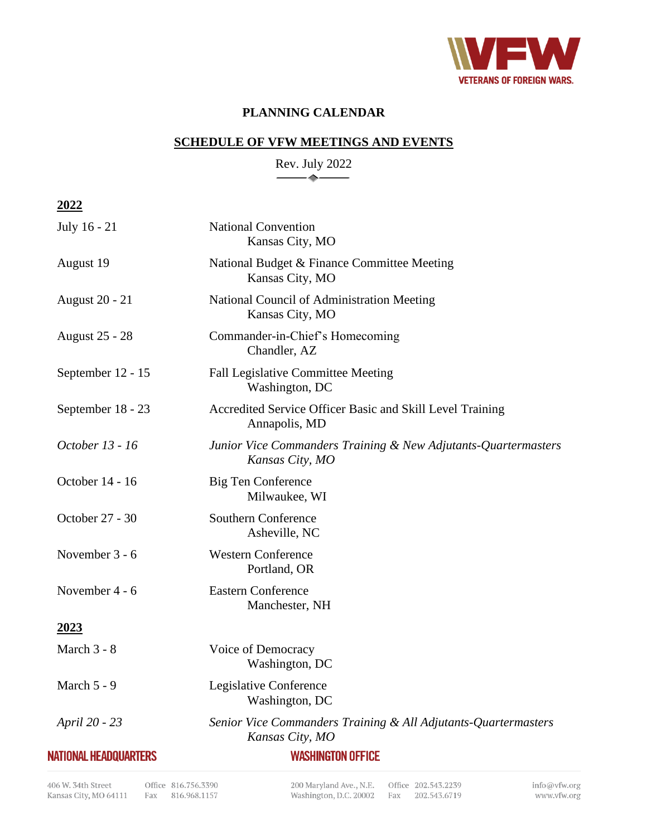

## **PLANNING CALENDAR**

## **SCHEDULE OF VFW MEETINGS AND EVENTS**

Rev. July 2022  $\rightarrow$ 

**2022**

| July 16 - 21                 | <b>National Convention</b><br>Kansas City, MO                                     |
|------------------------------|-----------------------------------------------------------------------------------|
| August 19                    | National Budget & Finance Committee Meeting<br>Kansas City, MO                    |
| <b>August 20 - 21</b>        | National Council of Administration Meeting<br>Kansas City, MO                     |
| <b>August 25 - 28</b>        | Commander-in-Chief's Homecoming<br>Chandler, AZ                                   |
| September 12 - 15            | Fall Legislative Committee Meeting<br>Washington, DC                              |
| September 18 - 23            | Accredited Service Officer Basic and Skill Level Training<br>Annapolis, MD        |
| October 13 - 16              | Junior Vice Commanders Training & New Adjutants-Quartermasters<br>Kansas City, MO |
| October 14 - 16              | <b>Big Ten Conference</b><br>Milwaukee, WI                                        |
| October 27 - 30              | <b>Southern Conference</b><br>Asheville, NC                                       |
| November 3 - 6               | <b>Western Conference</b><br>Portland, OR                                         |
| November 4 - 6               | <b>Eastern Conference</b><br>Manchester, NH                                       |
| 2023                         |                                                                                   |
| March 3 - 8                  | Voice of Democracy<br>Washington, DC                                              |
| March 5 - 9                  | Legislative Conference<br>Washington, DC                                          |
| April 20 - 23                | Senior Vice Commanders Training & All Adjutants-Quartermasters<br>Kansas City, MO |
| <b>NATIONAL HEADQUARTERS</b> | <b>WASHINGTON OFFICE</b>                                                          |